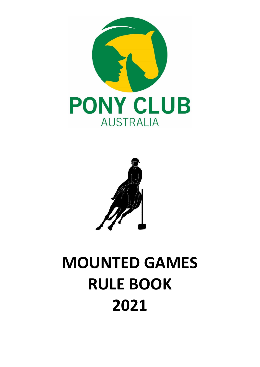



# **MOUNTED GAMES RULE BOOK 2021**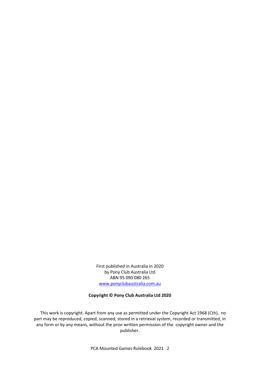First published in Australia in 2020 by Pony Club Australia Ltd ABN 95 090 080 265 www.ponyclubaustralia.com.au

#### **Copyright © Pony Club Australia Ltd 2020**

 This work is copyright. Apart from any use as permitted under the Copyright Act 1968 (Cth), no part may be reproduced, copied, scanned, stored in a retrieval system, recorded or transmitted, in any form or by any means, without the prior written permission of the copyright owner and the publisher.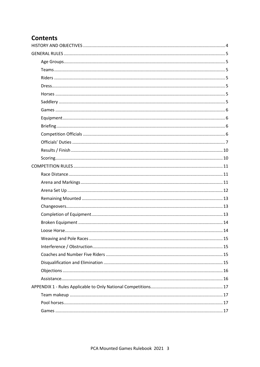# **Contents**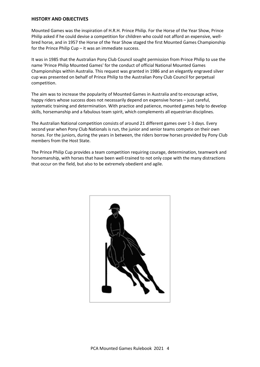#### <span id="page-3-0"></span>**HISTORY AND OBJECTIVES**

Mounted Games was the inspiration of H.R.H. Prince Philip. For the Horse of the Year Show, Prince Philip asked if he could devise a competition for children who could not afford an expensive, wellbred horse, and in 1957 the Horse of the Year Show staged the first Mounted Games Championship for the Prince Philip Cup – it was an immediate success.

It was in 1985 that the Australian Pony Club Council sought permission from Prince Philip to use the name 'Prince Philip Mounted Games' for the conduct of official National Mounted Games Championships within Australia. This request was granted in 1986 and an elegantly engraved silver cup was presented on behalf of Prince Philip to the Australian Pony Club Council for perpetual competition.

The aim was to increase the popularity of Mounted Games in Australia and to encourage active, happy riders whose success does not necessarily depend on expensive horses – just careful, systematic training and determination. With practice and patience, mounted games help to develop skills, horsemanship and a fabulous team spirit, which complements all equestrian disciplines.

The Australian National competition consists of around 21 different games over 1-3 days. Every second year when Pony Club Nationals is run, the junior and senior teams compete on their own horses. For the juniors, during the years in between, the riders borrow horses provided by Pony Club members from the Host State.

The Prince Philip Cup provides a team competition requiring courage, determination, teamwork and horsemanship, with horses that have been well-trained to not only cope with the many distractions that occur on the field, but also to be extremely obedient and agile.

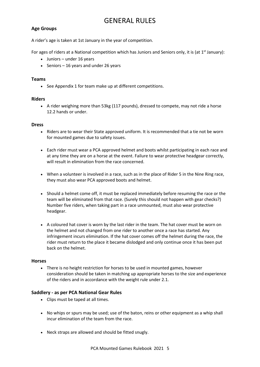# GENERAL RULES

## <span id="page-4-1"></span><span id="page-4-0"></span>**Age Groups**

A rider's age is taken at 1st January in the year of competition.

For ages of riders at a National competition which has Juniors and Seniors only, it is (at 1<sup>st</sup> January):

- Juniors under 16 years
- Seniors 16 years and under 26 years

#### <span id="page-4-2"></span>**Teams**

• See Appendix 1 for team make up at different competitions.

#### <span id="page-4-3"></span>**Riders**

• A rider weighing more than 53kg (117 pounds), dressed to compete, may not ride a horse 12.2 hands or under.

#### <span id="page-4-4"></span>**Dress**

- Riders are to wear their State approved uniform. It is recommended that a tie not be worn for mounted games due to safety issues.
- Each rider must wear a PCA approved helmet and boots whilst participating in each race and at any time they are on a horse at the event. Failure to wear protective headgear correctly, will result in elimination from the race concerned.
- When a volunteer is involved in a race, such as in the place of Rider 5 in the Nine Ring race, they must also wear PCA approved boots and helmet.
- Should a helmet come off, it must be replaced immediately before resuming the race or the team will be eliminated from that race. (Surely this should not happen with gear checks?) Number five riders, when taking part in a race unmounted, must also wear protective headgear.
- A coloured hat cover is worn by the last rider in the team. The hat cover must be worn on the helmet and not changed from one rider to another once a race has started. Any infringement incurs elimination. If the hat cover comes off the helmet during the race, the rider must return to the place it became dislodged and only continue once it has been put back on the helmet.

#### <span id="page-4-5"></span>**Horses**

• There is no height restriction for horses to be used in mounted games, however consideration should be taken in matching up appropriate horses to the size and experience of the riders and in accordance with the weight rule under 2.1.

#### <span id="page-4-6"></span>**Saddlery - as per PCA National Gear Rules**

- Clips must be taped at all times.
- No whips or spurs may be used; use of the baton, reins or other equipment as a whip shall incur elimination of the team from the race.
- Neck straps are allowed and should be fitted snugly.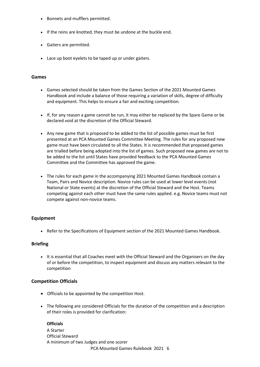- Bonnets and mufflers permitted.
- If the reins are knotted, they must be undone at the buckle end.
- Gaiters are permitted.
- Lace up boot eyelets to be taped up or under gaiters.

## <span id="page-5-0"></span>**Games**

- Games selected should be taken from the Games Section of the 2021 Mounted Games Handbook and include a balance of those requiring a variation of skills, degree of difficulty and equipment. This helps to ensure a fair and exciting competition.
- If, for any reason a game cannot be run, it may either be replaced by the Spare Game or be declared void at the discretion of the Official Steward.
- Any new game that is proposed to be added to the list of possible games must be first presented at an PCA Mounted Games Committee Meeting. The rules for any proposed new game must have been circulated to all the States. It is recommended that proposed games are trialled before being adopted into the list of games. Such proposed new games are not to be added to the list until States have provided feedback to the PCA Mounted Games Committee and the Committee has approved the game.
- The rules for each game in the accompanying 2021 Mounted Games Handbook contain a Team, Pairs and Novice description. Novice rules can be used at lower level events (not National or State events) at the discretion of the Official Steward and the Host. Teams competing against each other must have the same rules applied. e.g. Novice teams must not compete against non-novice teams.

# <span id="page-5-1"></span>**Equipment**

• Refer to the Specifications of Equipment section of the 2021 Mounted Games Handbook.

# <span id="page-5-2"></span>**Briefing**

• It is essential that all Coaches meet with the Official Steward and the Organisers on the day of or before the competition, to inspect equipment and discuss any matters relevant to the competition

# <span id="page-5-3"></span>**Competition Officials**

- Officials to be appointed by the competition Host.
- The following are considered Officials for the duration of the competition and a description of their roles is provided for clarification:

# **Officials**

PCA Mounted Games Rulebook 2021 6 A Starter Official Steward A minimum of two Judges and one scorer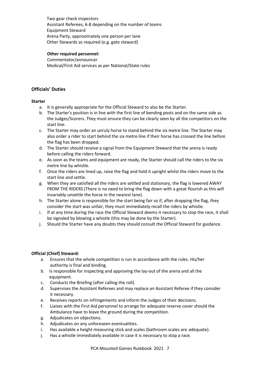Two gear check inspectors Assistant Referees, 6-8 depending on the number of teams Equipment Steward Arena Party, approximately one person per lane Other Stewards as required (e.g. gate steward)

#### **Other required personnel:**

Commentator/announcer Medical/First Aid services as per National/State rules

# <span id="page-6-0"></span>**Officials' Duties**

#### **Starter**

- a. It is generally appropriate for the Official Steward to also be the Starter.
- b. The Starter's position is in line with the first line of bending posts and on the same side as the Judges/Scorers. They must ensure they can be clearly seen by all the competitors on the start line.
- c. The Starter may order an unruly horse to stand behind the six metre line. The Starter may also order a rider to start behind the six metre line if their horse has crossed the line before the flag has been dropped.
- d. The Starter should receive a signal from the Equipment Steward that the arena is ready before calling the riders forward.
- e. As soon as the teams and equipment are ready, the Starter should call the riders to the six metre line by whistle.
- f. Once the riders are lined up, raise the flag and hold it upright whilst the riders move to the start line and settle.
- g. When they are satisfied all the riders are settled and stationary, the flag is lowered AWAY FROM THE RIDERS (There is no need to bring the flag down with a great flourish as this will invariably unsettle the horse in the nearest lane).
- h. The Starter alone is responsible for the start being fair so if, after dropping the flag, they consider the start was unfair, they must immediately recall the riders by whistle.
- i. If at any time during the race the Official Steward deems it necessary to stop the race, it shall be signaled by blowing a whistle (this may be done by the Starter).
- j. Should the Starter have any doubts they should consult the Official Steward for guidance.

#### **Official (Chief) Steward:**

- a. Ensures that the whole competition is run in accordance with the rules. His/her authority is final and binding.
- b. Is responsible for inspecting and approving the lay-out of the arena and all the equipment.
- c. Conducts the Briefing (after calling the roll).
- d. Supervises the Assistant Referees and may replace an Assistant Referee if they consider it necessary.
- e. Receives reports on infringements and inform the Judges of their decisions.
- f. Liaises with the First Aid personnel to arrange for adequate reserve cover should the Ambulance have to leave the ground during the competition.
- g. Adjudicates on objections.
- h. Adjudicates on any unforeseen eventualities.
- i. Has available a height measuring stick and scales (bathroom scales are adequate).
- j. Has a whistle immediately available in case it is necessary to stop a race.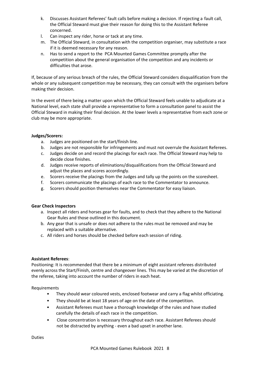- k. Discusses Assistant Referees' fault calls before making a decision. If rejecting a fault call, the Official Steward must give their reason for doing this to the Assistant Referee concerned.
- l. Can inspect any rider, horse or tack at any time.
- m. The Official Steward, in consultation with the competition organiser, may substitute a race if it is deemed necessary for any reason.
- n. Has to send a report to the PCA Mounted Games Committee promptly after the competition about the general organisation of the competition and any incidents or difficulties that arose.

If, because of any serious breach of the rules, the Official Steward considers disqualification from the whole or any subsequent competition may be necessary, they can consult with the organisers before making their decision.

In the event of there being a matter upon which the Official Steward feels unable to adjudicate at a National level, each state shall provide a representative to form a consultation panel to assist the Official Steward in making their final decision. At the lower levels a representative from each zone or club may be more appropriate.

# **Judges/Scorers:**

- a. Judges are positioned on the start/finish line.
- b. Judges are not responsible for infringements and must not overrule the Assistant Referees.
- c. Judges decide on and record the placings for each race. The Official Steward may help to decide close finishes.
- d. Judges receive reports of eliminations/disqualifications from the Official Steward and adjust the places and scores accordingly.
- e. Scorers receive the placings from the Judges and tally up the points on the scoresheet.
- f. Scorers communicate the placings of each race to the Commentator to announce.
- g. Scorers should position themselves near the Commentator for easy liaison.

# **Gear Check Inspectors**

- a. Inspect all riders and horses gear for faults, and to check that they adhere to the National Gear Rules and those outlined in this document.
- b. Any gear that is unsafe or does not adhere to the rules must be removed and may be replaced with a suitable alternative.
- c. All riders and horses should be checked before each session of riding.

# **Assistant Referees**:

Positioning: It is recommended that there be a minimum of eight assistant referees distributed evenly across the Start/Finish, centre and changeover lines. This may be varied at the discretion of the referee, taking into account the number of riders in each heat.

# Requirements

- They should wear coloured vests, enclosed footwear and carry a flag whilst officiating.
- They should be at least 18 years of age on the date of the competition.
- Assistant Referees must have a thorough knowledge of the rules and have studied carefully the details of each race in the competition.
- Close concentration is necessary throughout each race. Assistant Referees should not be distracted by anything - even a bad upset in another lane.

Duties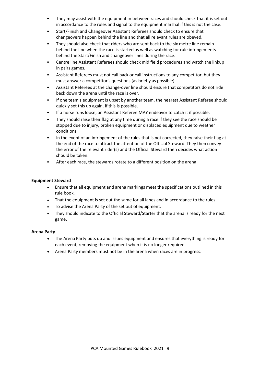- They may assist with the equipment in between races and should check that it is set out in accordance to the rules and signal to the equipment marshal if this is not the case.
- Start/Finish and Changeover Assistant Referees should check to ensure that changeovers happen behind the line and that all relevant rules are obeyed.
- They should also check that riders who are sent back to the six metre line remain behind the line when the race is started as well as watching for rule infringements behind the Start/Finish and changeover lines during the race.
- Centre line Assistant Referees should check mid field procedures and watch the linkup in pairs games.
- Assistant Referees must not call back or call instructions to any competitor, but they must answer a competitor's questions (as briefly as possible).
- Assistant Referees at the change-over line should ensure that competitors do not ride back down the arena until the race is over.
- If one team's equipment is upset by another team, the nearest Assistant Referee should quickly set this up again, if this is possible.
- If a horse runs loose, an Assistant Referee MAY endeavor to catch it if possible.
- They should raise their flag at any time during a race if they see the race should be stopped due to injury, broken equipment or displaced equipment due to weather conditions.
- In the event of an infringement of the rules that is not corrected, they raise their flag at the end of the race to attract the attention of the Official Steward. They then convey the error of the relevant rider(s) and the Official Steward then decides what action should be taken.
- After each race, the stewards rotate to a different position on the arena

#### **Equipment Steward**

- Ensure that all equipment and arena markings meet the specifications outlined in this rule book.
- That the equipment is set out the same for all lanes and in accordance to the rules.
- To advise the Arena Party of the set out of equipment.
- They should indicate to the Official Steward/Starter that the arena is ready for the next game.

#### **Arena Party**

- The Arena Party puts up and issues equipment and ensures that everything is ready for each event, removing the equipment when it is no longer required.
- Arena Party members must not be in the arena when races are in progress.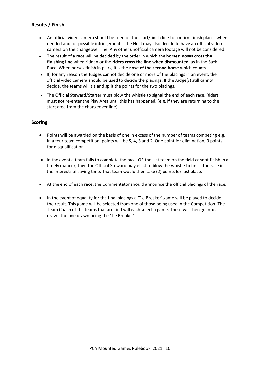# <span id="page-9-0"></span>**Results / Finish**

- An official video camera should be used on the start/finish line to confirm finish places when needed and for possible infringements. The Host may also decide to have an official video camera on the changeover line. Any other unofficial camera footage will not be considered.
- The result of a race will be decided by the order in which the **horses' noses cross the finishing line** when ridden or the **riders cross the line when dismounted**, as in the Sack Race. When horses finish in pairs, it is the **nose of the second horse** which counts.
- If, for any reason the Judges cannot decide one or more of the placings in an event, the official video camera should be used to decide the placings. If the Judge(s) still cannot decide, the teams will tie and split the points for the two placings.
- The Official Steward/Starter must blow the whistle to signal the end of each race. Riders must not re-enter the Play Area until this has happened. (e.g. if they are returning to the start area from the changeover line).

# <span id="page-9-1"></span>**Scoring**

- Points will be awarded on the basis of one in excess of the number of teams competing e.g. in a four team competition, points will be 5, 4, 3 and 2. One point for elimination, 0 points for disqualification.
- In the event a team fails to complete the race, OR the last team on the field cannot finish in a timely manner, then the Official Steward may elect to blow the whistle to finish the race in the interests of saving time. That team would then take (2) points for last place.
- At the end of each race, the Commentator should announce the official placings of the race.
- In the event of equality for the final placings a 'Tie Breaker' game will be played to decide the result. This game will be selected from one of those being used in the Competition. The Team Coach of the teams that are tied will each select a game. These will then go into a draw - the one drawn being the 'Tie Breaker'.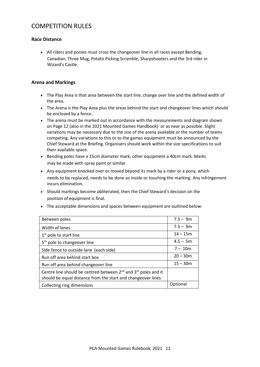# <span id="page-10-0"></span>COMPETITION RULES

# <span id="page-10-1"></span>**Race Distance**

• All riders and ponies must cross the changeover line in all races except Bending, Canadian, Three Mug, Potato Picking Scramble, Sharpshooters and the 3rd rider in Wizard's Castle.

# <span id="page-10-2"></span>**Arena and Markings**

- The Play Area is that area between the start line, change over line and the defined width of the area.
- The Arena is the Play Area plus the areas behind the start and changeover lines which should be enclosed by a fence.
- The arena must be marked out in accordance with the measurements and diagram shown on Page 12 (also in the 2021 Mounted Games Handbook) or as near as possible. Slight variations may be necessary due to the size of the arena available or the number of teams competing. Any variations to this or to the games equipment must be announced by the Chief Steward at the Briefing. Organisers should work within the size specifications to suit their available space.
- Bending poles have a 15cm diameter mark, other equipment a 40cm mark. Marks may be made with spray paint or similar.
- Any equipment knocked over or moved beyond its mark by a rider or a pony, which needs to be replaced, needs to be done so inside or touching the marking. Any infringement incurs elimination.
- Should markings become obliterated, then the Chief Steward's decision on the position of equipment is final.
- The acceptable dimensions and spaces between equipment are outlined below:

| Between poles                                                                                                                            | $7.5 - 9m$ |
|------------------------------------------------------------------------------------------------------------------------------------------|------------|
| Width of lanes                                                                                                                           | $7.5 - 9m$ |
| $1st$ pole to start line                                                                                                                 | $14 - 15m$ |
| 5 <sup>th</sup> pole to changeover line                                                                                                  | $4.5 - 5m$ |
| Side fence to outside lane (each side)                                                                                                   | $7 - 10m$  |
| Run off area behind start box                                                                                                            | $20 - 30m$ |
| Run off area behind changeover line                                                                                                      | $15 - 30m$ |
| Centre line should be centred between $2^{nd}$ and $3^{rd}$ poles and it<br>should be equal distance from the start and changeover lines |            |
| Collecting ring dimensions                                                                                                               | Optional   |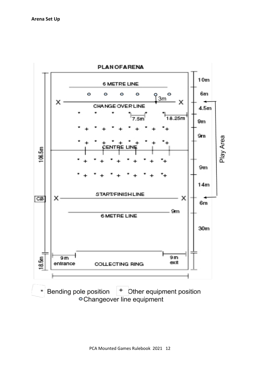<span id="page-11-0"></span>

Bending pole position + Other equipment position ٠ ○ Changeover line equipment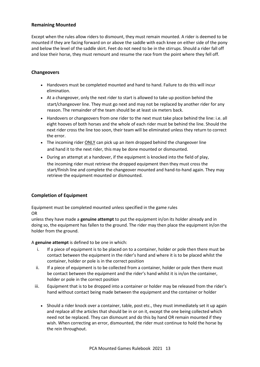## <span id="page-12-0"></span>**Remaining Mounted**

Except when the rules allow riders to dismount, they must remain mounted. A rider is deemed to be mounted if they are facing forward on or above the saddle with each knee on either side of the pony and below the level of the saddle skirt. Feet do not need to be in the stirrups. Should a rider fall off and lose their horse, they must remount and resume the race from the point where they fell off.

# <span id="page-12-1"></span>**Changeovers**

- Handovers must be completed mounted and hand to hand. Failure to do this will incur elimination.
- At a changeover, only the next rider to start is allowed to take up position behind the start/changeover line. They must go next and may not be replaced by another rider for any reason. The remainder of the team should be at least six meters back.
- Handovers or changeovers from one rider to the next must take place behind the line: i.e. all eight hooves of both horses and the whole of each rider must be behind the line. Should the next rider cross the line too soon, their team will be eliminated unless they return to correct the error.
- The incoming rider **ONLY** can pick up an item dropped behind the changeover line and hand it to the next rider, this may be done mounted or dismounted.
- During an attempt at a handover, if the equipment is knocked into the field of play, the incoming rider must retrieve the dropped equipment then they must cross the start/finish line and complete the changeover mounted and hand-to-hand again. They may retrieve the equipment mounted or dismounted.

# <span id="page-12-2"></span>**Completion of Equipment**

Equipment must be completed mounted unless specified in the game rules OR

unless they have made a **genuine attempt** to put the equipment in/on its holder already and in doing so, the equipment has fallen to the ground. The rider may then place the equipment in/on the holder from the ground.

A **genuine attempt** is defined to be one in which:

- i. If a piece of equipment is to be placed on to a container, holder or pole then there must be contact between the equipment in the rider's hand and where it is to be placed whilst the container, holder or pole is in the correct position
- ii. If a piece of equipment is to be collected from a container, holder or pole then there must be contact between the equipment and the rider's hand whilst it is in/on the container, holder or pole in the correct position
- iii. Equipment that is to be dropped into a container or holder may be released from the rider's hand without contact being made between the equipment and the container or holder
	- Should a rider knock over a container, table, post etc., they must immediately set it up again and replace all the articles that should be in or on it, except the one being collected which need not be replaced. They can dismount and do this by hand OR remain mounted if they wish. When correcting an error, dismounted, the rider must continue to hold the horse by the rein throughout.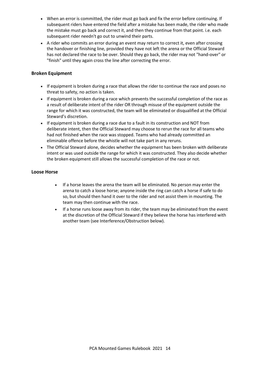- When an error is committed, the rider must go back and fix the error before continuing. If subsequent riders have entered the field after a mistake has been made, the rider who made the mistake must go back and correct it, and then they continue from that point. i.e. each subsequent rider needn't go out to unwind their parts.
- A rider who commits an error during an event may return to correct it, even after crossing the handover or finishing line, provided they have not left the arena or the Official Steward has not declared the race to be over. Should they go back, the rider may not "hand-over" or "finish" until they again cross the line after correcting the error.

# <span id="page-13-0"></span>**Broken Equipment**

- If equipment is broken during a race that allows the rider to continue the race and poses no threat to safety, no action is taken.
- If equipment is broken during a race which prevents the successful completion of the race as a result of deliberate intent of the rider OR through misuse of the equipment outside the range for which it was constructed, the team will be eliminated or disqualified at the Official Steward's discretion.
- If equipment is broken during a race due to a fault in its construction and NOT from deliberate intent, then the Official Steward may choose to rerun the race for all teams who had not finished when the race was stopped. Teams who had already committed an eliminable offence before the whistle will not take part in any reruns.
- The Official Steward alone, decides whether the equipment has been broken with deliberate intent or was used outside the range for which it was constructed. They also decide whether the broken equipment still allows the successful completion of the race or not.

# <span id="page-13-1"></span>**Loose Horse**

- If a horse leaves the arena the team will be eliminated. No person may enter the arena to catch a loose horse; anyone inside the ring can catch a horse if safe to do so, but should then hand it over to the rider and not assist them in mounting. The team may then continue with the race.
- If a horse runs loose away from its rider, the team may be eliminated from the event at the discretion of the Official Steward if they believe the horse has interfered with another team (see Interference/Obstruction below).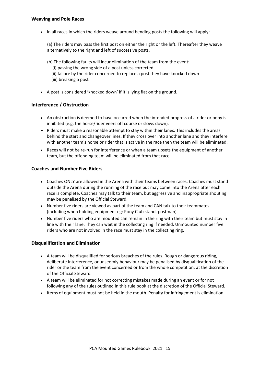<span id="page-14-0"></span>• In all races in which the riders weave around bending posts the following will apply:

(a) The riders may pass the first post on either the right or the left. Thereafter they weave alternatively to the right and left of successive posts.

(b) The following faults will incur elimination of the team from the event:

- (i) passing the wrong side of a post unless corrected
- (ii) failure by the rider concerned to replace a post they have knocked down
- (iii) breaking a post
- A post is considered 'knocked down' if it is lying flat on the ground.

# <span id="page-14-1"></span>**Interference / Obstruction**

- An obstruction is deemed to have occurred when the intended progress of a rider or pony is inhibited (e.g. the horse/rider veers off course or slows down).
- Riders must make a reasonable attempt to stay within their lanes. This includes the areas behind the start and changeover lines. If they cross over into another lane and they interfere with another team's horse or rider that is active in the race then the team will be eliminated.
- Races will not be re-run for interference or when a team upsets the equipment of another team, but the offending team will be eliminated from that race.

# <span id="page-14-2"></span>**Coaches and Number Five Riders**

- Coaches ONLY are allowed in the Arena with their teams between races. Coaches must stand outside the Arena during the running of the race but may come into the Arena after each race is complete. Coaches may talk to their team, but aggressive and inappropriate shouting may be penalised by the Official Steward.
- Number five riders are viewed as part of the team and CAN talk to their teammates (including when holding equipment eg: Pony Club stand, postman).
- Number five riders who are mounted can remain in the ring with their team but must stay in line with their lane. They can wait in the collecting ring if needed. Unmounted number five riders who are not involved in the race must stay in the collecting ring.

# <span id="page-14-3"></span>**Disqualification and Elimination**

- A team will be disqualified for serious breaches of the rules. Rough or dangerous riding, deliberate interference, or unseemly behaviour may be penalised by disqualification of the rider or the team from the event concerned or from the whole competition, at the discretion of the Official Steward*.*
- A team will be eliminated for not correcting mistakes made during an event or for not following any of the rules outlined in this rule book at the discretion of the Official Steward.
- Items of equipment must not be held in the mouth. Penalty for infringement is elimination.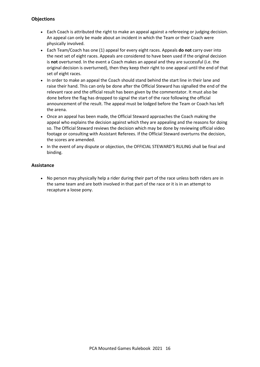# <span id="page-15-0"></span>**Objections**

- Each Coach is attributed the right to make an appeal against a refereeing or judging decision. An appeal can only be made about an incident in which the Team or their Coach were physically involved.
- Each Team/Coach has one (1) appeal for every eight races. Appeals **do not** carry over into the next set of eight races. Appeals are considered to have been used if the original decision is **not** overturned. In the event a Coach makes an appeal and they are successful (i.e. the original decision is overturned), then they keep their right to one appeal until the end of that set of eight races.
- In order to make an appeal the Coach should stand behind the start line in their lane and raise their hand. This can only be done after the Official Steward has signalled the end of the relevant race and the official result has been given by the commentator. It must also be done before the flag has dropped to signal the start of the race following the official announcement of the result. The appeal must be lodged before the Team or Coach has left the arena.
- Once an appeal has been made, the Official Steward approaches the Coach making the appeal who explains the decision against which they are appealing and the reasons for doing so. The Official Steward reviews the decision which may be done by reviewing official video footage or consulting with Assistant Referees. If the Official Steward overturns the decision, the scores are amended.
- In the event of any dispute or objection, the OFFICIAL STEWARD'S RULING shall be final and binding.

# <span id="page-15-1"></span>**Assistance**

• No person may physically help a rider during their part of the race unless both riders are in the same team and are both involved in that part of the race or it is in an attempt to recapture a loose pony.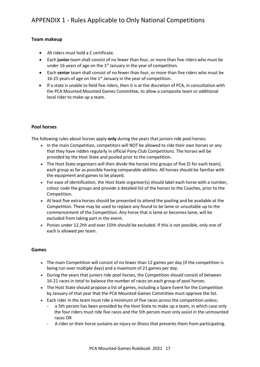# <span id="page-16-1"></span><span id="page-16-0"></span>**Team makeup**

- All riders must hold a C certificate.
- Each **junior** team shall consist of no fewer than four, or more than five riders who must be under 16 years of age on the  $1<sup>st</sup>$  January in the year of competition.
- Each **senior** team shall consist of no fewer than four, or more than five riders who must be 16-25 years of age on the  $1<sup>st</sup>$  January in the year of competition.
- If a state is unable to field five riders, then it is at the discretion of PCA, in consultation with the PCA Mounted Mounted Games Committee, to allow a composite team or additional local rider to make up a team.

# <span id="page-16-2"></span>**Pool horses**

The following rules about horses apply **only** during the years that juniors ride pool horses:

- In the main Competition, competitors will NOT be allowed to ride their own horses or any that they have ridden regularly in official Pony Club Competitions. The horses will be provided by the Host State and pooled prior to the competition.
- The Host State organisers will then divide the horses into groups of five (5 for each team), each group as far as possible having comparable abilities. All horses should be familiar with the equipment and games to be played.
- For ease of identification, the Host State organiser(s) should label each horse with a number, colour code the groups and provide a detailed list of the horses to the Coaches, prior to the Competition.
- At least five extra horses should be presented to attend the pooling and be available at the Competition. These may be used to replace any found to be lame or unsuitable up to the commencement of the Competition. Any horse that is lame or becomes lame, will be excluded from taking part in the event.
- Ponies under 12.2hh and over 15hh should be excluded. If this is not possible, only one of each is allowed per team.

# <span id="page-16-3"></span>**Games**

- The main Competition will consist of no fewer than 12 games per day (if the competition is being run over multiple days) and a maximum of 21 games per day.
- During the years that juniors ride pool horses, the Competition should consist of between 16-21 races in total to balance the number of races on each group of pool horses.
- The Host State should propose a list of games, including a Spare Event for the Competition by January of that year that the PCA Mounted Games Committee must approve the list.
- Each rider in the team must ride a minimum of five races across the competition unless:
	- a 5th person has been provided by the Host State to make up a team, in which case only the four riders must ride five races and the 5th person must only assist in the unmounted races OR
	- A rider or their horse sustains an injury or illness that prevents them from participating.